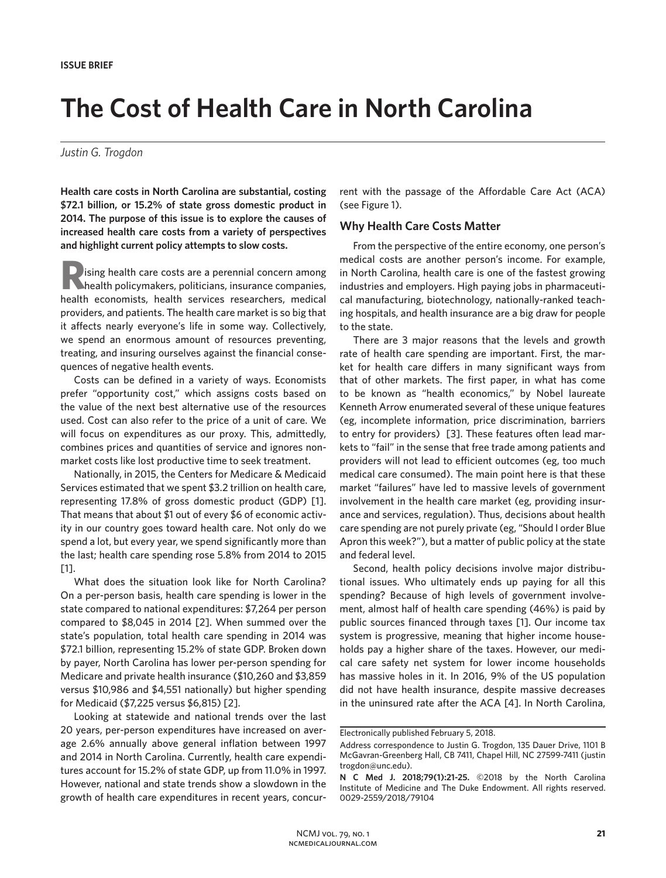# **The Cost of Health Care in North Carolina**

#### *Justin G. Trogdon*

**Health care costs in North Carolina are substantial, costing \$72.1 billion, or 15.2% of state gross domestic product in 2014. The purpose of this issue is to explore the causes of increased health care costs from a variety of perspectives and highlight current policy attempts to slow costs.**

**Rising health care costs are a perennial concern among thealth policymakers, politicians, insurance companies,** health economists, health services researchers, medical providers, and patients. The health care market is so big that it affects nearly everyone's life in some way. Collectively, we spend an enormous amount of resources preventing, treating, and insuring ourselves against the financial consequences of negative health events.

Costs can be defined in a variety of ways. Economists prefer "opportunity cost," which assigns costs based on the value of the next best alternative use of the resources used. Cost can also refer to the price of a unit of care. We will focus on expenditures as our proxy. This, admittedly, combines prices and quantities of service and ignores nonmarket costs like lost productive time to seek treatment.

Nationally, in 2015, the Centers for Medicare & Medicaid Services estimated that we spent \$3.2 trillion on health care, representing 17.8% of gross domestic product (GDP) [1]. That means that about \$1 out of every \$6 of economic activity in our country goes toward health care. Not only do we spend a lot, but every year, we spend significantly more than the last; health care spending rose 5.8% from 2014 to 2015 [1].

What does the situation look like for North Carolina? On a per-person basis, health care spending is lower in the state compared to national expenditures: \$7,264 per person compared to \$8,045 in 2014 [2]. When summed over the state's population, total health care spending in 2014 was \$72.1 billion, representing 15.2% of state GDP. Broken down by payer, North Carolina has lower per-person spending for Medicare and private health insurance (\$10,260 and \$3,859 versus \$10,986 and \$4,551 nationally) but higher spending for Medicaid (\$7,225 versus \$6,815) [2].

Looking at statewide and national trends over the last 20 years, per-person expenditures have increased on average 2.6% annually above general inflation between 1997 and 2014 in North Carolina. Currently, health care expenditures account for 15.2% of state GDP, up from 11.0% in 1997. However, national and state trends show a slowdown in the growth of health care expenditures in recent years, concurrent with the passage of the Affordable Care Act (ACA) (see Figure 1).

# **Why Health Care Costs Matter**

From the perspective of the entire economy, one person's medical costs are another person's income. For example, in North Carolina, health care is one of the fastest growing industries and employers. High paying jobs in pharmaceutical manufacturing, biotechnology, nationally-ranked teaching hospitals, and health insurance are a big draw for people to the state.

There are 3 major reasons that the levels and growth rate of health care spending are important. First, the market for health care differs in many significant ways from that of other markets. The first paper, in what has come to be known as "health economics," by Nobel laureate Kenneth Arrow enumerated several of these unique features (eg, incomplete information, price discrimination, barriers to entry for providers) [3]. These features often lead markets to "fail" in the sense that free trade among patients and providers will not lead to efficient outcomes (eg, too much medical care consumed). The main point here is that these market "failures" have led to massive levels of government involvement in the health care market (eg, providing insurance and services, regulation). Thus, decisions about health care spending are not purely private (eg, "Should I order Blue Apron this week?"), but a matter of public policy at the state and federal level.

Second, health policy decisions involve major distributional issues. Who ultimately ends up paying for all this spending? Because of high levels of government involvement, almost half of health care spending (46%) is paid by public sources financed through taxes [1]. Our income tax system is progressive, meaning that higher income households pay a higher share of the taxes. However, our medical care safety net system for lower income households has massive holes in it. In 2016, 9% of the US population did not have health insurance, despite massive decreases in the uninsured rate after the ACA [4]. In North Carolina,

Electronically published February 5, 2018.

Address correspondence to Justin G. Trogdon, 135 Dauer Drive, 1101 B McGavran-Greenberg Hall, CB 7411, Chapel Hill, NC 27599-7411 (justin trogdon@unc.edu).

**N C Med J. 2018;79(1):21-25.** ©2018 by the North Carolina Institute of Medicine and The Duke Endowment. All rights reserved. 0029-2559/2018/79104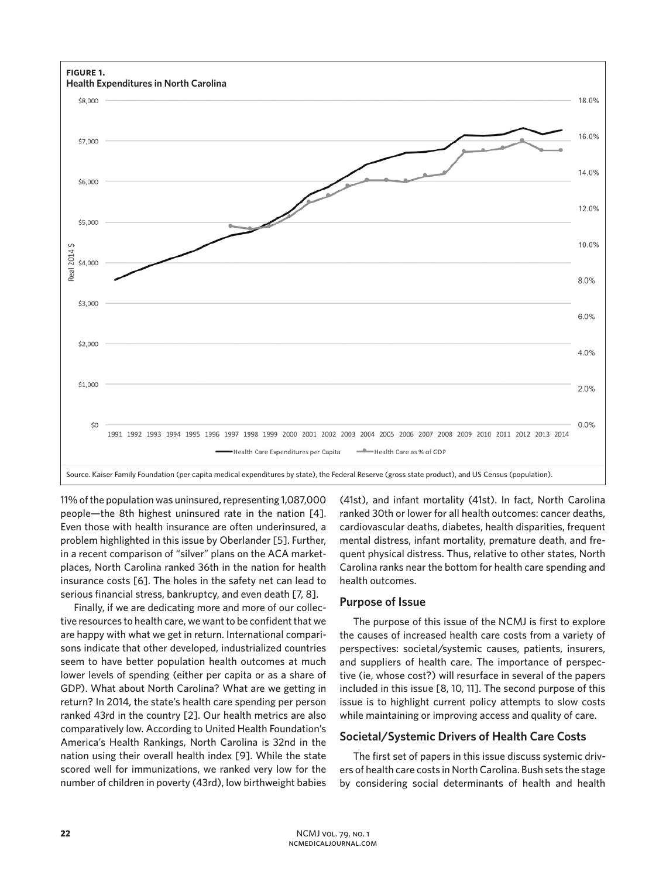

11% of the population was uninsured, representing 1,087,000 people—the 8th highest uninsured rate in the nation [4]. Even those with health insurance are often underinsured, a problem highlighted in this issue by Oberlander [5]. Further, in a recent comparison of "silver" plans on the ACA marketplaces, North Carolina ranked 36th in the nation for health insurance costs [6]. The holes in the safety net can lead to serious financial stress, bankruptcy, and even death [7, 8].

Finally, if we are dedicating more and more of our collective resources to health care, we want to be confident that we are happy with what we get in return. International comparisons indicate that other developed, industrialized countries seem to have better population health outcomes at much lower levels of spending (either per capita or as a share of GDP). What about North Carolina? What are we getting in return? In 2014, the state's health care spending per person ranked 43rd in the country [2]. Our health metrics are also comparatively low. According to United Health Foundation's America's Health Rankings, North Carolina is 32nd in the nation using their overall health index [9]. While the state scored well for immunizations, we ranked very low for the number of children in poverty (43rd), low birthweight babies

(41st), and infant mortality (41st). In fact, North Carolina ranked 30th or lower for all health outcomes: cancer deaths, cardiovascular deaths, diabetes, health disparities, frequent mental distress, infant mortality, premature death, and frequent physical distress. Thus, relative to other states, North Carolina ranks near the bottom for health care spending and health outcomes.

#### **Purpose of Issue**

The purpose of this issue of the NCMJ is first to explore the causes of increased health care costs from a variety of perspectives: societal/systemic causes, patients, insurers, and suppliers of health care. The importance of perspective (ie, whose cost?) will resurface in several of the papers included in this issue [8, 10, 11]. The second purpose of this issue is to highlight current policy attempts to slow costs while maintaining or improving access and quality of care.

# **Societal/Systemic Drivers of Health Care Costs**

The first set of papers in this issue discuss systemic drivers of health care costs in North Carolina. Bush sets the stage by considering social determinants of health and health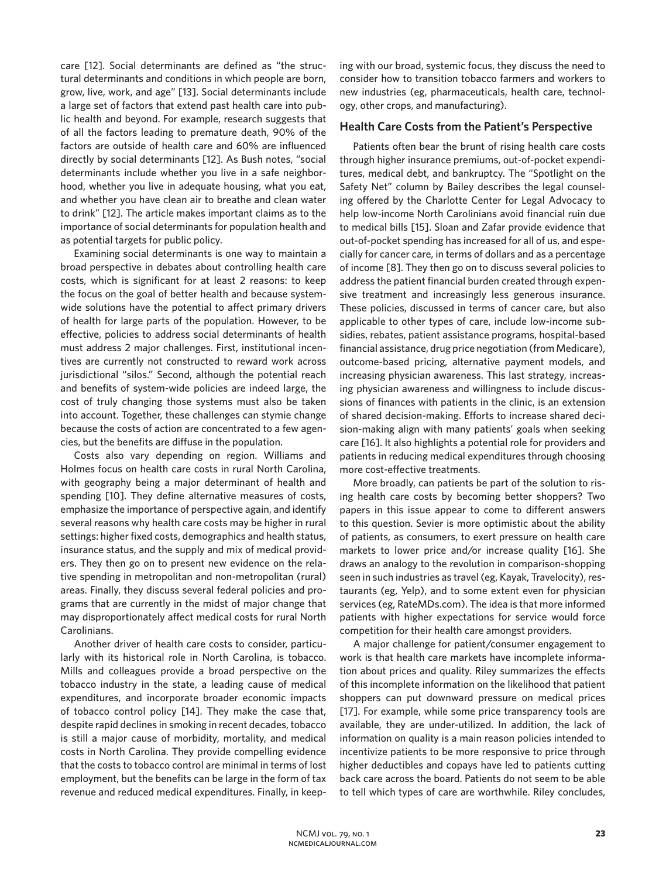care [12]. Social determinants are defined as "the structural determinants and conditions in which people are born, grow, live, work, and age" [13]. Social determinants include a large set of factors that extend past health care into public health and beyond. For example, research suggests that of all the factors leading to premature death, 90% of the factors are outside of health care and 60% are influenced directly by social determinants [12]. As Bush notes, "social determinants include whether you live in a safe neighborhood, whether you live in adequate housing, what you eat, and whether you have clean air to breathe and clean water to drink" [12]. The article makes important claims as to the importance of social determinants for population health and as potential targets for public policy.

Examining social determinants is one way to maintain a broad perspective in debates about controlling health care costs, which is significant for at least 2 reasons: to keep the focus on the goal of better health and because systemwide solutions have the potential to affect primary drivers of health for large parts of the population. However, to be effective, policies to address social determinants of health must address 2 major challenges. First, institutional incentives are currently not constructed to reward work across jurisdictional "silos." Second, although the potential reach and benefits of system-wide policies are indeed large, the cost of truly changing those systems must also be taken into account. Together, these challenges can stymie change because the costs of action are concentrated to a few agencies, but the benefits are diffuse in the population.

Costs also vary depending on region. Williams and Holmes focus on health care costs in rural North Carolina, with geography being a major determinant of health and spending [10]. They define alternative measures of costs, emphasize the importance of perspective again, and identify several reasons why health care costs may be higher in rural settings: higher fixed costs, demographics and health status, insurance status, and the supply and mix of medical providers. They then go on to present new evidence on the relative spending in metropolitan and non-metropolitan (rural) areas. Finally, they discuss several federal policies and programs that are currently in the midst of major change that may disproportionately affect medical costs for rural North Carolinians.

Another driver of health care costs to consider, particularly with its historical role in North Carolina, is tobacco. Mills and colleagues provide a broad perspective on the tobacco industry in the state, a leading cause of medical expenditures, and incorporate broader economic impacts of tobacco control policy [14]. They make the case that, despite rapid declines in smoking in recent decades, tobacco is still a major cause of morbidity, mortality, and medical costs in North Carolina. They provide compelling evidence that the costs to tobacco control are minimal in terms of lost employment, but the benefits can be large in the form of tax revenue and reduced medical expenditures. Finally, in keeping with our broad, systemic focus, they discuss the need to consider how to transition tobacco farmers and workers to new industries (eg, pharmaceuticals, health care, technology, other crops, and manufacturing).

## **Health Care Costs from the Patient's Perspective**

Patients often bear the brunt of rising health care costs through higher insurance premiums, out-of-pocket expenditures, medical debt, and bankruptcy. The "Spotlight on the Safety Net" column by Bailey describes the legal counseling offered by the Charlotte Center for Legal Advocacy to help low-income North Carolinians avoid financial ruin due to medical bills [15]. Sloan and Zafar provide evidence that out-of-pocket spending has increased for all of us, and especially for cancer care, in terms of dollars and as a percentage of income [8]. They then go on to discuss several policies to address the patient financial burden created through expensive treatment and increasingly less generous insurance. These policies, discussed in terms of cancer care, but also applicable to other types of care, include low-income subsidies, rebates, patient assistance programs, hospital-based financial assistance, drug price negotiation (from Medicare), outcome-based pricing, alternative payment models, and increasing physician awareness. This last strategy, increasing physician awareness and willingness to include discussions of finances with patients in the clinic, is an extension of shared decision-making. Efforts to increase shared decision-making align with many patients' goals when seeking care [16]. It also highlights a potential role for providers and patients in reducing medical expenditures through choosing more cost-effective treatments.

More broadly, can patients be part of the solution to rising health care costs by becoming better shoppers? Two papers in this issue appear to come to different answers to this question. Sevier is more optimistic about the ability of patients, as consumers, to exert pressure on health care markets to lower price and/or increase quality [16]. She draws an analogy to the revolution in comparison-shopping seen in such industries as travel (eg, Kayak, Travelocity), restaurants (eg, Yelp), and to some extent even for physician services (eg, RateMDs.com). The idea is that more informed patients with higher expectations for service would force competition for their health care amongst providers.

A major challenge for patient/consumer engagement to work is that health care markets have incomplete information about prices and quality. Riley summarizes the effects of this incomplete information on the likelihood that patient shoppers can put downward pressure on medical prices [17]. For example, while some price transparency tools are available, they are under-utilized. In addition, the lack of information on quality is a main reason policies intended to incentivize patients to be more responsive to price through higher deductibles and copays have led to patients cutting back care across the board. Patients do not seem to be able to tell which types of care are worthwhile. Riley concludes,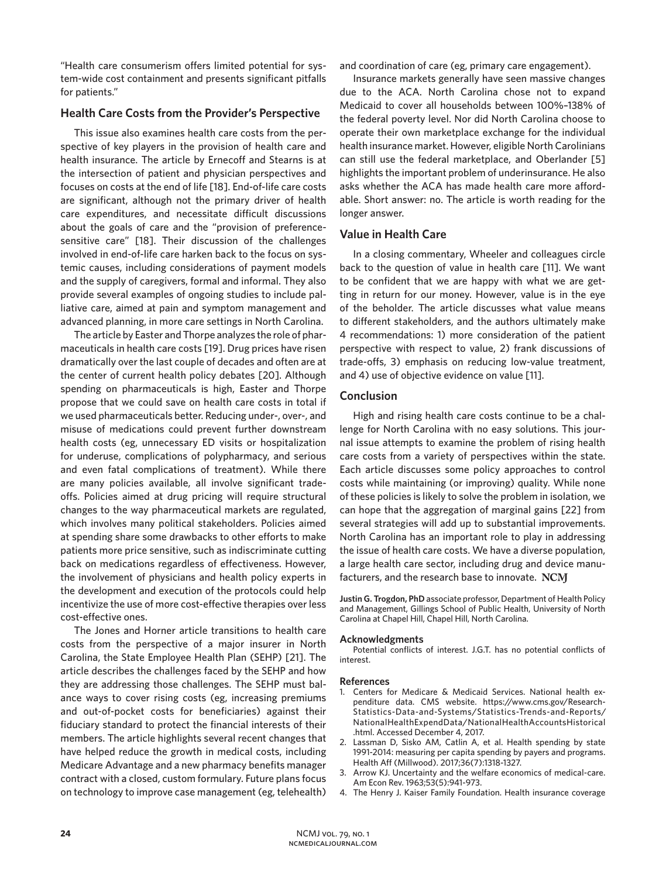"Health care consumerism offers limited potential for system-wide cost containment and presents significant pitfalls for patients."

## **Health Care Costs from the Provider's Perspective**

This issue also examines health care costs from the perspective of key players in the provision of health care and health insurance. The article by Ernecoff and Stearns is at the intersection of patient and physician perspectives and focuses on costs at the end of life [18]. End-of-life care costs are significant, although not the primary driver of health care expenditures, and necessitate difficult discussions about the goals of care and the "provision of preferencesensitive care" [18]. Their discussion of the challenges involved in end-of-life care harken back to the focus on systemic causes, including considerations of payment models and the supply of caregivers, formal and informal. They also provide several examples of ongoing studies to include palliative care, aimed at pain and symptom management and advanced planning, in more care settings in North Carolina.

The article by Easter and Thorpe analyzes the role of pharmaceuticals in health care costs [19]. Drug prices have risen dramatically over the last couple of decades and often are at the center of current health policy debates [20]. Although spending on pharmaceuticals is high, Easter and Thorpe propose that we could save on health care costs in total if we used pharmaceuticals better. Reducing under-, over-, and misuse of medications could prevent further downstream health costs (eg, unnecessary ED visits or hospitalization for underuse, complications of polypharmacy, and serious and even fatal complications of treatment). While there are many policies available, all involve significant tradeoffs. Policies aimed at drug pricing will require structural changes to the way pharmaceutical markets are regulated, which involves many political stakeholders. Policies aimed at spending share some drawbacks to other efforts to make patients more price sensitive, such as indiscriminate cutting back on medications regardless of effectiveness. However, the involvement of physicians and health policy experts in the development and execution of the protocols could help incentivize the use of more cost-effective therapies over less cost-effective ones.

The Jones and Horner article transitions to health care costs from the perspective of a major insurer in North Carolina, the State Employee Health Plan (SEHP) [21]. The article describes the challenges faced by the SEHP and how they are addressing those challenges. The SEHP must balance ways to cover rising costs (eg, increasing premiums and out-of-pocket costs for beneficiaries) against their fiduciary standard to protect the financial interests of their members. The article highlights several recent changes that have helped reduce the growth in medical costs, including Medicare Advantage and a new pharmacy benefits manager contract with a closed, custom formulary. Future plans focus on technology to improve case management (eg, telehealth)

and coordination of care (eg, primary care engagement).

Insurance markets generally have seen massive changes due to the ACA. North Carolina chose not to expand Medicaid to cover all households between 100%–138% of the federal poverty level. Nor did North Carolina choose to operate their own marketplace exchange for the individual health insurance market. However, eligible North Carolinians can still use the federal marketplace, and Oberlander [5] highlights the important problem of underinsurance. He also asks whether the ACA has made health care more affordable. Short answer: no. The article is worth reading for the longer answer.

## **Value in Health Care**

In a closing commentary, Wheeler and colleagues circle back to the question of value in health care [11]. We want to be confident that we are happy with what we are getting in return for our money. However, value is in the eye of the beholder. The article discusses what value means to different stakeholders, and the authors ultimately make 4 recommendations: 1) more consideration of the patient perspective with respect to value, 2) frank discussions of trade-offs, 3) emphasis on reducing low-value treatment, and 4) use of objective evidence on value [11].

#### **Conclusion**

High and rising health care costs continue to be a challenge for North Carolina with no easy solutions. This journal issue attempts to examine the problem of rising health care costs from a variety of perspectives within the state. Each article discusses some policy approaches to control costs while maintaining (or improving) quality. While none of these policies is likely to solve the problem in isolation, we can hope that the aggregation of marginal gains [22] from several strategies will add up to substantial improvements. North Carolina has an important role to play in addressing the issue of health care costs. We have a diverse population, a large health care sector, including drug and device manufacturers, and the research base to innovate. NCM

**Justin G. Trogdon, PhD** associate professor, Department of Health Policy and Management, Gillings School of Public Health, University of North Carolina at Chapel Hill, Chapel Hill, North Carolina.

#### **Acknowledgments**

Potential conflicts of interest. J.G.T. has no potential conflicts of interest.

#### **References**

- 1. Centers for Medicare & Medicaid Services. National health expenditure data. CMS website. https://www.cms.gov/Research-Statistics-Data-and-Systems/Statistics-Trends-and-Reports/ NationalHealthExpendData/NationalHealthAccountsHistorical .html. Accessed December 4, 2017.
- 2. Lassman D, Sisko AM, Catlin A, et al. Health spending by state 1991-2014: measuring per capita spending by payers and programs. Health Aff (Millwood). 2017;36(7):1318-1327.
- 3. Arrow KJ. Uncertainty and the welfare economics of medical-care. Am Econ Rev. 1963;53(5):941-973.
- 4. The Henry J. Kaiser Family Foundation. Health insurance coverage